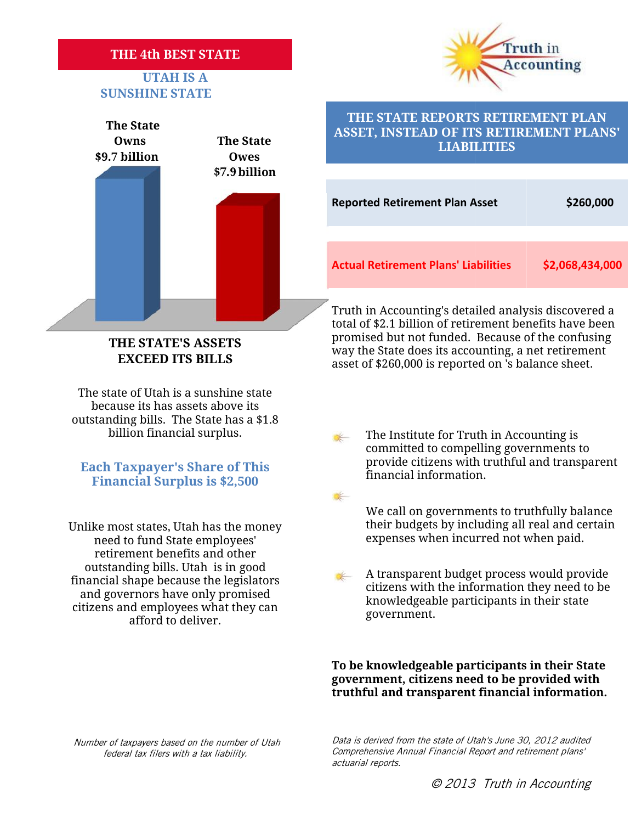## **THE 4th BEST STATE**

# **UTAH IS A SUNSHINE STATE<br>
SUNSHINE STATE**





# **THE STATE REPORTS RETIREMENT PLAN ASSET, INSTEAD OF ITS RETIREMENT PLANS' PLANS'LIABILITIESLIABILITIES**

| <b>Reported Retirement Plan Asset</b>       | \$260,000       |
|---------------------------------------------|-----------------|
| <b>Actual Retirement Plans' Liabilities</b> | \$2,068,434,000 |

Truth in Accounting's detailed analysis discovered a Truth in Accounting's detailed analysis discovered a<br>total of \$2.1 billion of retirement benefits have been promised but not funded. Because of the confusing way the State does its accounting, a net retirement THE STATE'S ASSETS promised but not funded. Because of the confusing<br>EXCEED ITS BILLS way the State does its accounting, a net retirement<br>asset of \$260,000 is reported on 's balance sheet.

The state of Utah is a sunshine state e state of Utah is a sunshine state<br>because its has assets above its outstanding bills. The State has a \$1.8

**THE STATE'S ASSETS EXCEED ITS BILLS**

**Each Taxpayer's Share of This Financial Surplus is \$2,500**

need to fund State employees' retirement benefits and other outstanding bills. Utah is in good financial shape because the legislators and governors have only promised citizens and employees what they can afford to deliver. We call on governments to truthfully balance<br>
integrated to fund State employees'<br>
retirement benefits and other<br>
outstanding bills. Utah is in good<br>
ancial shape because the legislators<br>
and governors have only promised<br> **ACCOUNTE'S ASSETS**<br> **Accounting, a net retirement one control in the summarization of control and the summarization is below that is a summarization is below that is a summarization is below that is a season to be summari** 

billion financial surplus.<br>
The Institute for Truth in Accounting is<br>
committed to compelling governments to<br>
provide citizens with truthful and transparent committed to compelling governments to provide citizens with truthful and transparent financial information.

We call on governments to truthfully balance their budgets by including all real and certain Unlike most states, Utah has the money their budgets by including all real and ce<br>need to fund State employees' expenses when incurred not when paid.

> A transparent budget process would provide citizens with the information they need to be knowledgeable participants in their state government. government.

**To be knowledgeable participants in their State government, citizens need to be provided with** To be knowledgeable participants in their State<br>government, citizens need to be provided with<br>truthful and transparent financial information.

*Number of taxpayers based on the number of Utah federal tax filers with a tax liability.*

*Data is derived from the state of Utah's June 30, 2012 audited Comprehensive Annual Financial Report and retirement plans' the Utah's June on number filers actuarial reports.*